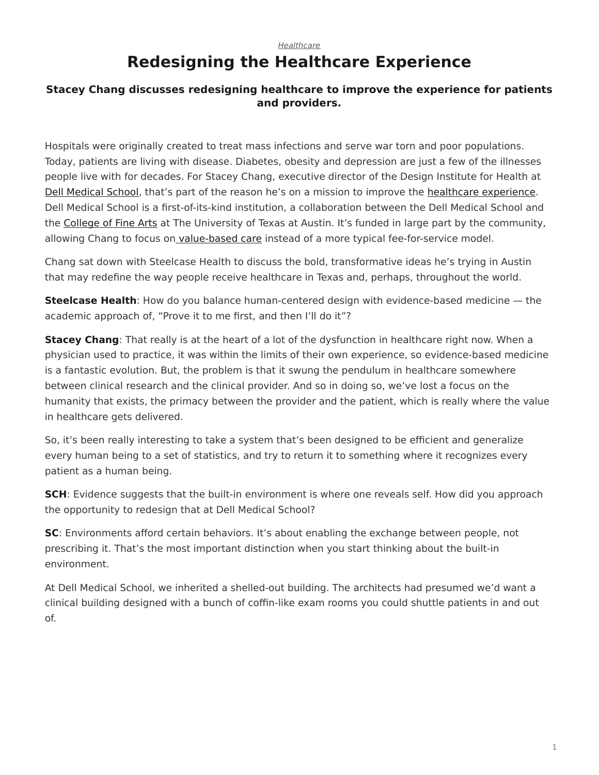#### *[Healthcare](https://www.steelcase.com/research/topics/healthcare/)*

# **Redesigning the Healthcare Experience**

#### <span id="page-0-0"></span>**Stacey Chang discusses redesigning healthcare to improve the experience for patients and providers.**

Hospitals were originally created to treat mass infections and serve war torn and poor populations. Today, patients are living with disease. Diabetes, obesity and depression are just a few of the illnesses people live with for decades. For Stacey Chang, executive director of the Design Institute for Health at [Dell Medical School,](https://dellmed.utexas.edu/) that's part of the reason he's on a mission to improve the [healthcare experience.](https://www.steelcase.com/research/articles/topics/healthcare/better-waiting-rooms-simply-cant-wait/) Dell Medical School is a first-of-its-kind institution, a collaboration between the Dell Medical School and the [College of Fine Arts](http://finearts.utexas.edu/) at The University of Texas at Austin. It's funded in large part by the community, allowing Chang to focus on [value-based care](https://www.steelcase.com/research/articles/topics/healthcare/problem-solving-passion-fuel-healthcare-design/) instead of a more typical fee-for-service model.

Chang sat down with Steelcase Health to discuss the bold, transformative ideas he's trying in Austin that may redefine the way people receive healthcare in Texas and, perhaps, throughout the world.

**Steelcase Health**: How do you balance human-centered design with evidence-based medicine — the academic approach of, "Prove it to me first, and then I'll do it"?

**Stacey Chang**: That really is at the heart of a lot of the dysfunction in healthcare right now. When a physician used to practice, it was within the limits of their own experience, so evidence-based medicine is a fantastic evolution. But, the problem is that it swung the pendulum in healthcare somewhere between clinical research and the clinical provider. And so in doing so, we've lost a focus on the humanity that exists, the primacy between the provider and the patient, which is really where the value in healthcare gets delivered.

So, it's been really interesting to take a system that's been designed to be efficient and generalize every human being to a set of statistics, and try to return it to something where it recognizes every patient as a human being.

**SCH**: Evidence suggests that the built-in environment is where one reveals self. How did you approach the opportunity to redesign that at Dell Medical School?

**SC**: Environments afford certain behaviors. It's about enabling the exchange between people, not prescribing it. That's the most important distinction when you start thinking about the built-in environment.

At Dell Medical School, we inherited a shelled-out building. The architects had presumed we'd want a clinical building designed with a bunch of coffin-like exam rooms you could shuttle patients in and out of.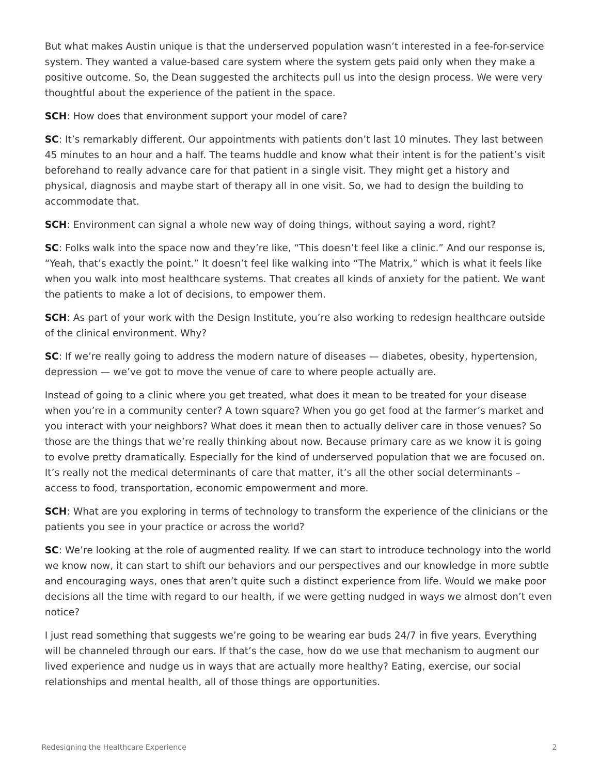But what makes Austin unique is that the underserved population wasn't interested in a fee-for-service system. They wanted a value-based care system where the system gets paid only when they make a positive outcome. So, the Dean suggested the architects pull us into the design process. We were very thoughtful about the experience of the patient in the space.

**SCH**: How does that environment support your model of care?

**SC:** It's remarkably different. Our appointments with patients don't last 10 minutes. They last between 45 minutes to an hour and a half. The teams huddle and know what their intent is for the patient's visit beforehand to really advance care for that patient in a single visit. They might get a history and physical, diagnosis and maybe start of therapy all in one visit. So, we had to design the building to accommodate that.

**SCH**: Environment can signal a whole new way of doing things, without saying a word, right?

**SC**: Folks walk into the space now and they're like, "This doesn't feel like a clinic." And our response is, "Yeah, that's exactly the point." It doesn't feel like walking into "The Matrix," which is what it feels like when you walk into most healthcare systems. That creates all kinds of anxiety for the patient. We want the patients to make a lot of decisions, to empower them.

**SCH**: As part of your work with the Design Institute, you're also working to redesign healthcare outside of the clinical environment. Why?

**SC:** If we're really going to address the modern nature of diseases — diabetes, obesity, hypertension, depression — we've got to move the venue of care to where people actually are.

Instead of going to a clinic where you get treated, what does it mean to be treated for your disease when you're in a community center? A town square? When you go get food at the farmer's market and you interact with your neighbors? What does it mean then to actually deliver care in those venues? So those are the things that we're really thinking about now. Because primary care as we know it is going to evolve pretty dramatically. Especially for the kind of underserved population that we are focused on. It's really not the medical determinants of care that matter, it's all the other social determinants – access to food, transportation, economic empowerment and more.

**SCH**: What are you exploring in terms of technology to transform the experience of the clinicians or the patients you see in your practice or across the world?

**SC**: We're looking at the role of augmented reality. If we can start to introduce technology into the world we know now, it can start to shift our behaviors and our perspectives and our knowledge in more subtle and encouraging ways, ones that aren't quite such a distinct experience from life. Would we make poor decisions all the time with regard to our health, if we were getting nudged in ways we almost don't even notice?

I just read something that suggests we're going to be wearing ear buds 24/7 in five years. Everything will be channeled through our ears. If that's the case, how do we use that mechanism to augment our lived experience and nudge us in ways that are actually more healthy? Eating, exercise, our social relationships and mental health, all of those things are opportunities.